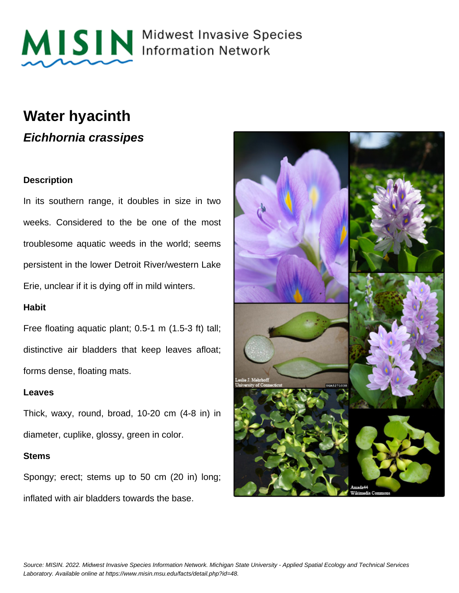

MISIN Midwest Invasive Species

### **Water hyacinth**

**Eichhornia crassipes**

#### **Description**

In its southern range, it doubles in size in two weeks. Considered to the be one of the most troublesome aquatic weeds in the world; seems persistent in the lower Detroit River/western Lake Erie, unclear if it is dying off in mild winters.

#### **Habit**

Free floating aquatic plant; 0.5-1 m (1.5-3 ft) tall; distinctive air bladders that keep leaves afloat; forms dense, floating mats.

#### **Leaves**

Thick, waxy, round, broad, 10-20 cm (4-8 in) in diameter, cuplike, glossy, green in color.

#### **Stems**

Spongy; erect; stems up to 50 cm (20 in) long; inflated with air bladders towards the base.

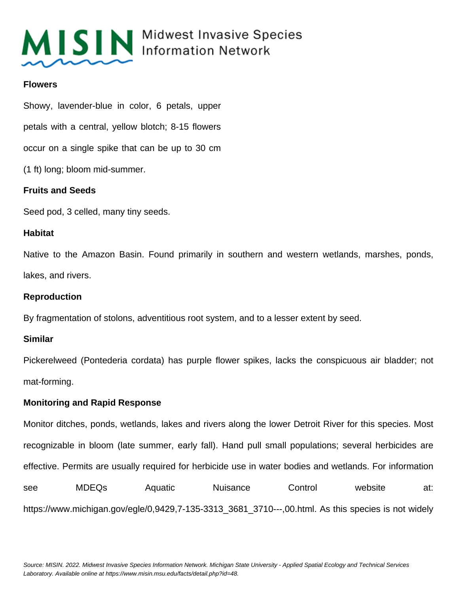

## MISIN Midwest Invasive Species

#### **Flowers**

Showy, lavender-blue in color, 6 petals, upper petals with a central, yellow blotch; 8-15 flowers occur on a single spike that can be up to 30 cm (1 ft) long; bloom mid-summer.

#### **Fruits and Seeds**

Seed pod, 3 celled, many tiny seeds.

#### **Habitat**

Native to the Amazon Basin. Found primarily in southern and western wetlands, marshes, ponds, lakes, and rivers.

#### **Reproduction**

By fragmentation of stolons, adventitious root system, and to a lesser extent by seed.

#### **Similar**

Pickerelweed (Pontederia cordata) has purple flower spikes, lacks the conspicuous air bladder; not mat-forming.

#### **Monitoring and Rapid Response**

Monitor ditches, ponds, wetlands, lakes and rivers along the lower Detroit River for this species. Most recognizable in bloom (late summer, early fall). Hand pull small populations; several herbicides are effective. Permits are usually required for herbicide use in water bodies and wetlands. For information see MDEQs Aquatic Nuisance Control website at: https://www.michigan.gov/egle/0,9429,7-135-3313\_3681\_3710---,00.html. As this species is not widely